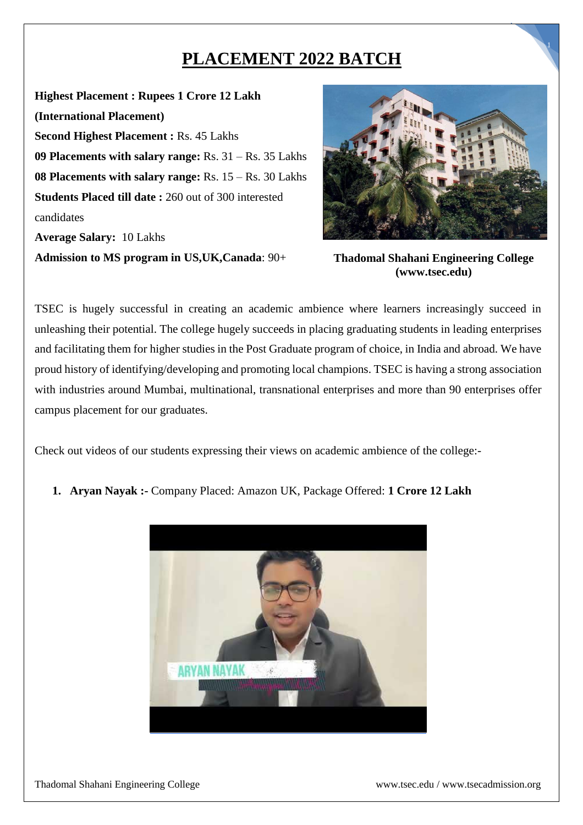## **PLACEMENT 2022 BATCH**

**Highest Placement : Rupees 1 Crore 12 Lakh (International Placement) Second Highest Placement :** Rs. 45 Lakhs **09 Placements with salary range:** Rs. 31 – Rs. 35 Lakhs **08 Placements with salary range:** Rs. 15 – Rs. 30 Lakhs **Students Placed till date :** 260 out of 300 interested candidates **Average Salary:** 10 Lakhs

**Admission to MS program in US,UK,Canada**: 90+



1

**Thadomal Shahani Engineering College (www.tsec.edu)**

TSEC is hugely successful in creating an academic ambience where learners increasingly succeed in unleashing their potential. The college hugely succeeds in placing graduating students in leading enterprises and facilitating them for higher studies in the Post Graduate program of choice, in India and abroad. We have proud history of identifying/developing and promoting local champions. TSEC is having a strong association with industries around Mumbai, multinational, transnational enterprises and more than 90 enterprises offer campus placement for our graduates.

Check out videos of our students expressing their views on academic ambience of the college:-

**1. Aryan Nayak :-** Company Placed: Amazon UK, Package Offered: **1 Crore 12 Lakh**

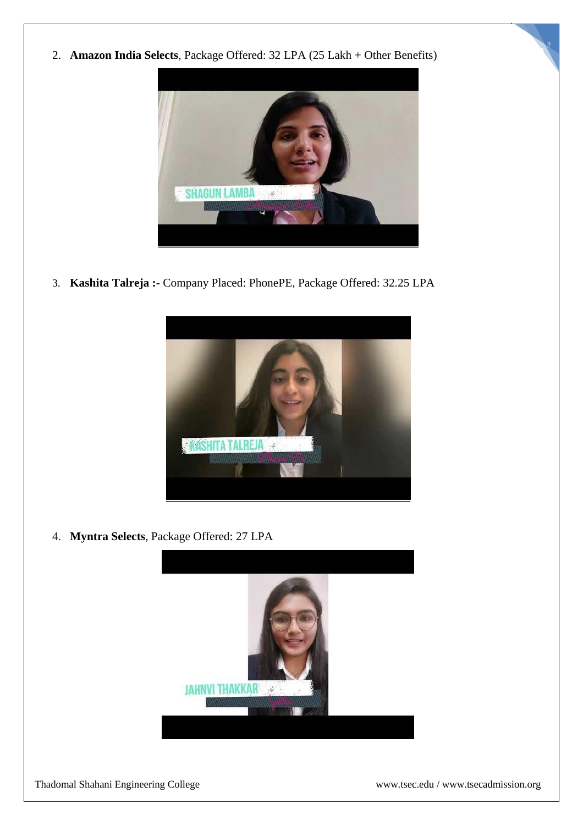2. **Amazon India Selects**, Package Offered: 32 LPA (25 Lakh + Other Benefits)



3. **Kashita Talreja :-** Company Placed: PhonePE, Package Offered: 32.25 LPA



4. **Myntra Selects**, Package Offered: 27 LPA



2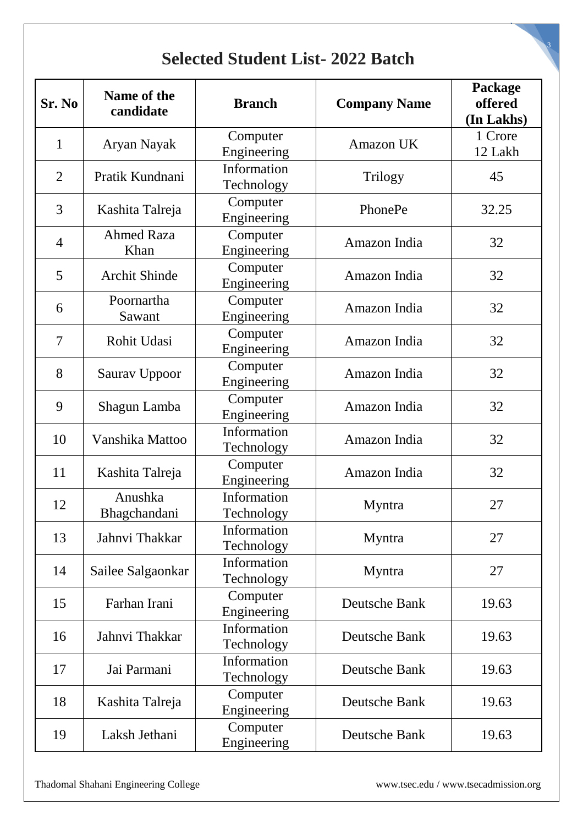## **Selected Student List- 2022 Batch**

| Sr. No         | Name of the<br>candidate       | <b>Branch</b>             | <b>Company Name</b> | Package<br>offered<br>(In Lakhs) |
|----------------|--------------------------------|---------------------------|---------------------|----------------------------------|
| $\mathbf{1}$   | Aryan Nayak                    | Computer<br>Engineering   | <b>Amazon UK</b>    | 1 Crore<br>12 Lakh               |
| $\overline{2}$ | Pratik Kundnani                | Information<br>Technology | Trilogy             | 45                               |
| 3              | Kashita Talreja                | Computer<br>Engineering   | PhonePe             | 32.25                            |
| $\overline{4}$ | <b>Ahmed Raza</b><br>Khan      | Computer<br>Engineering   | Amazon India        | 32                               |
| 5              | <b>Archit Shinde</b>           | Computer<br>Engineering   | Amazon India        | 32                               |
| 6              | Poornartha<br>Sawant           | Computer<br>Engineering   | Amazon India        | 32                               |
| $\overline{7}$ | Rohit Udasi                    | Computer<br>Engineering   | Amazon India        | 32                               |
| 8              | Saurav Uppoor                  | Computer<br>Engineering   | Amazon India        | 32                               |
| 9              | Shagun Lamba                   | Computer<br>Engineering   | Amazon India        | 32                               |
| 10             | Vanshika Mattoo                | Information<br>Technology | Amazon India        | 32                               |
| 11             | Kashita Talreja                | Computer<br>Engineering   | Amazon India        | 32                               |
| 12             | Anushka<br><b>Bhagchandani</b> | Information<br>Technology | Myntra              | 27                               |
| 13             | Jahnvi Thakkar                 | Information<br>Technology | Myntra              | 27                               |
| 14             | Sailee Salgaonkar              | Information<br>Technology | Myntra              | 27                               |
| 15             | Farhan Irani                   | Computer<br>Engineering   | Deutsche Bank       | 19.63                            |
| 16             | Jahnvi Thakkar                 | Information<br>Technology | Deutsche Bank       | 19.63                            |
| 17             | Jai Parmani                    | Information<br>Technology | Deutsche Bank       | 19.63                            |
| 18             | Kashita Talreja                | Computer<br>Engineering   | Deutsche Bank       | 19.63                            |
| 19             | Laksh Jethani                  | Computer<br>Engineering   | Deutsche Bank       | 19.63                            |

3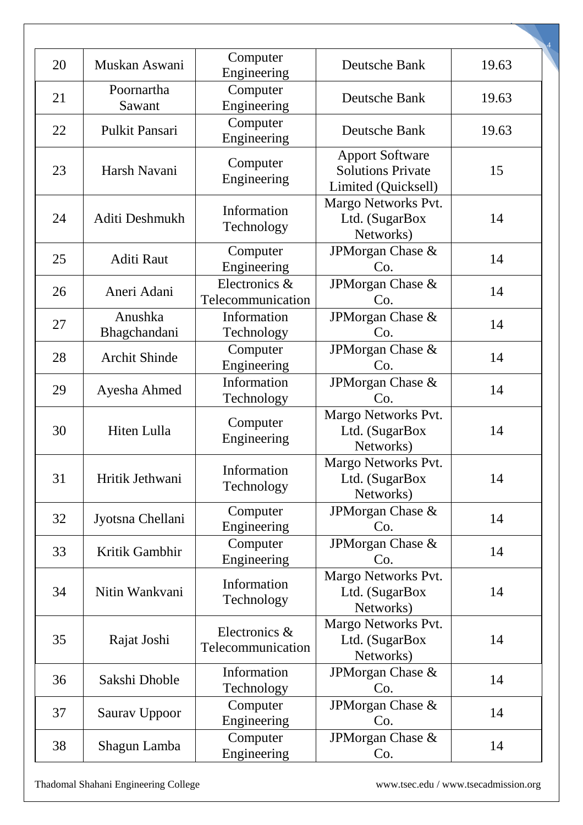| 20 | Muskan Aswani           | Computer<br>Engineering            | Deutsche Bank                                                             | 19.63 |
|----|-------------------------|------------------------------------|---------------------------------------------------------------------------|-------|
| 21 | Poornartha<br>Sawant    | Computer<br>Engineering            | Deutsche Bank                                                             | 19.63 |
| 22 | Pulkit Pansari          | Computer<br>Engineering            | Deutsche Bank                                                             | 19.63 |
| 23 | Harsh Navani            | Computer<br>Engineering            | <b>Apport Software</b><br><b>Solutions Private</b><br>Limited (Quicksell) | 15    |
| 24 | Aditi Deshmukh          | Information<br>Technology          | Margo Networks Pvt.<br>Ltd. (SugarBox<br>Networks)                        | 14    |
| 25 | <b>Aditi Raut</b>       | Computer<br>Engineering            | JPMorgan Chase &<br>Co.                                                   | 14    |
| 26 | Aneri Adani             | Electronics &<br>Telecommunication | JPMorgan Chase &<br>Co.                                                   | 14    |
| 27 | Anushka<br>Bhagchandani | Information<br>Technology          | JPMorgan Chase &<br>Co.                                                   | 14    |
| 28 | <b>Archit Shinde</b>    | Computer<br>Engineering            | JPMorgan Chase &<br>Co.                                                   | 14    |
| 29 | Ayesha Ahmed            | Information<br>Technology          | JPMorgan Chase &<br>Co.                                                   | 14    |
| 30 | Hiten Lulla             | Computer<br>Engineering            | Margo Networks Pvt.<br>Ltd. (SugarBox<br>Networks)                        | 14    |
| 31 | Hritik Jethwani         | Information<br>Technology          | Margo Networks Pvt.<br>Ltd. (SugarBox)<br>Networks)                       | 14    |
| 32 | Jyotsna Chellani        | Computer<br>Engineering            | JPMorgan Chase &<br>Co.                                                   | 14    |
| 33 | Kritik Gambhir          | Computer<br>Engineering            | JPMorgan Chase &<br>Co.                                                   | 14    |
| 34 | Nitin Wankvani          | Information<br>Technology          | Margo Networks Pvt.<br>Ltd. (SugarBox<br>Networks)                        | 14    |
| 35 | Rajat Joshi             | Electronics &<br>Telecommunication | Margo Networks Pvt.<br>Ltd. (SugarBox<br>Networks)                        | 14    |
| 36 | Sakshi Dhoble           | Information<br>Technology          | JPMorgan Chase &<br>Co.                                                   | 14    |
| 37 | Saurav Uppoor           | Computer<br>Engineering            | JPMorgan Chase &<br>Co.                                                   | 14    |
| 38 | Shagun Lamba            | Computer<br>Engineering            | JPMorgan Chase &<br>Co.                                                   | 14    |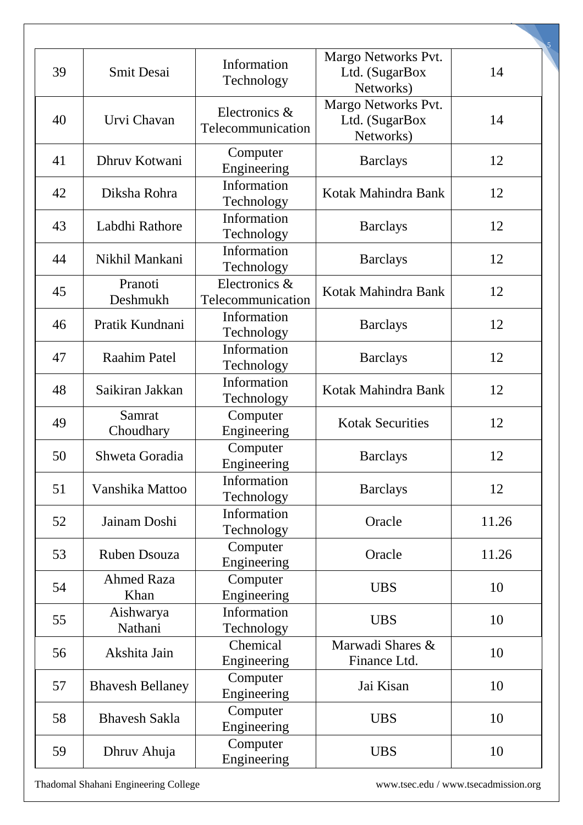| 39 | <b>Smit Desai</b>         | Information<br>Technology          | Margo Networks Pvt.<br>Ltd. (SugarBox<br>Networks) | 14    |
|----|---------------------------|------------------------------------|----------------------------------------------------|-------|
| 40 | Urvi Chavan               | Electronics &<br>Telecommunication | Margo Networks Pvt.<br>Ltd. (SugarBox<br>Networks) | 14    |
| 41 | Dhruv Kotwani             | Computer<br>Engineering            | <b>Barclays</b>                                    | 12    |
| 42 | Diksha Rohra              | Information<br>Technology          | Kotak Mahindra Bank                                | 12    |
| 43 | Labdhi Rathore            | Information<br>Technology          | <b>Barclays</b>                                    | 12    |
| 44 | Nikhil Mankani            | Information<br>Technology          | <b>Barclays</b>                                    | 12    |
| 45 | Pranoti<br>Deshmukh       | Electronics &<br>Telecommunication | Kotak Mahindra Bank                                | 12    |
| 46 | Pratik Kundnani           | Information<br>Technology          | <b>Barclays</b>                                    | 12    |
| 47 | <b>Raahim Patel</b>       | Information<br>Technology          | <b>Barclays</b>                                    | 12    |
| 48 | Saikiran Jakkan           | Information<br>Technology          | Kotak Mahindra Bank                                | 12    |
| 49 | Samrat<br>Choudhary       | Computer<br>Engineering            | <b>Kotak Securities</b>                            | 12    |
| 50 | Shweta Goradia            | Computer<br>Engineering            | <b>Barclays</b>                                    | 12    |
| 51 | Vanshika Mattoo           | Information<br>Technology          | <b>Barclays</b>                                    | 12    |
| 52 | Jainam Doshi              | Information<br>Technology          | Oracle                                             | 11.26 |
| 53 | Ruben Dsouza              | Computer<br>Engineering            | Oracle                                             | 11.26 |
| 54 | <b>Ahmed Raza</b><br>Khan | Computer<br>Engineering            | <b>UBS</b>                                         | 10    |
| 55 | Aishwarya<br>Nathani      | Information<br>Technology          | <b>UBS</b>                                         | 10    |
| 56 | Akshita Jain              | Chemical<br>Engineering            | Marwadi Shares &<br>Finance Ltd.                   | 10    |
| 57 | <b>Bhavesh Bellaney</b>   | Computer<br>Engineering            | Jai Kisan                                          | 10    |
| 58 | <b>Bhavesh Sakla</b>      | Computer<br>Engineering            | <b>UBS</b>                                         | 10    |
| 59 | Dhruv Ahuja               | Computer<br>Engineering            | <b>UBS</b>                                         | 10    |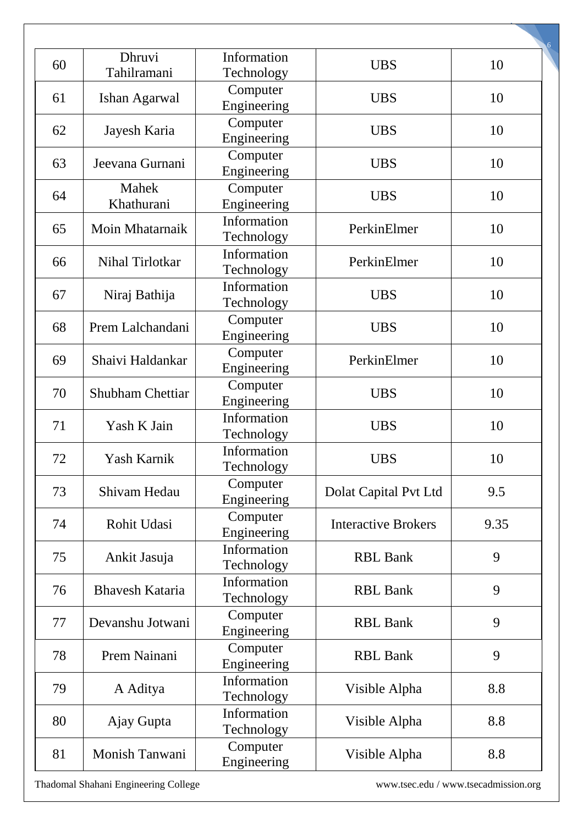| 60 | Dhruvi<br>Tahilramani         | Information<br>Technology               | <b>UBS</b>                 | 10   |
|----|-------------------------------|-----------------------------------------|----------------------------|------|
| 61 | Ishan Agarwal                 | Computer<br>Engineering                 | <b>UBS</b>                 | 10   |
| 62 | Jayesh Karia                  | Computer<br>Engineering                 | <b>UBS</b>                 | 10   |
| 63 | Jeevana Gurnani               | Computer                                | <b>UBS</b>                 | 10   |
| 64 | Mahek                         | Engineering<br>Computer                 | <b>UBS</b>                 | 10   |
| 65 | Khathurani<br>Moin Mhatarnaik | Engineering<br>Information              | PerkinElmer                | 10   |
| 66 | Nihal Tirlotkar               | Technology<br>Information               | PerkinElmer                | 10   |
| 67 | Niraj Bathija                 | Technology<br>Information<br>Technology | <b>UBS</b>                 | 10   |
| 68 | Prem Lalchandani              | Computer<br>Engineering                 | <b>UBS</b>                 | 10   |
| 69 | Shaivi Haldankar              | Computer<br>Engineering                 | PerkinElmer                | 10   |
| 70 | <b>Shubham Chettiar</b>       | Computer<br>Engineering                 | <b>UBS</b>                 | 10   |
| 71 | Yash K Jain                   | Information<br>Technology               | <b>UBS</b>                 | 10   |
| 72 | Yash Karnik                   | Information<br>Technology               | <b>UBS</b>                 | 10   |
| 73 | Shivam Hedau                  | Computer<br>Engineering                 | Dolat Capital Pvt Ltd      | 9.5  |
| 74 | Rohit Udasi                   | Computer<br>Engineering                 | <b>Interactive Brokers</b> | 9.35 |
| 75 | Ankit Jasuja                  | Information<br>Technology               | <b>RBL Bank</b>            | 9    |
| 76 | <b>Bhavesh Kataria</b>        | Information<br>Technology               | <b>RBL Bank</b>            | 9    |
| 77 | Devanshu Jotwani              | Computer<br>Engineering                 | <b>RBL Bank</b>            | 9    |
| 78 | Prem Nainani                  | Computer<br>Engineering                 | <b>RBL Bank</b>            | 9    |
| 79 | A Aditya                      | Information<br>Technology               | Visible Alpha              | 8.8  |
| 80 | Ajay Gupta                    | Information<br>Technology               | Visible Alpha              | 8.8  |
| 81 | Monish Tanwani                | Computer<br>Engineering                 | Visible Alpha              | 8.8  |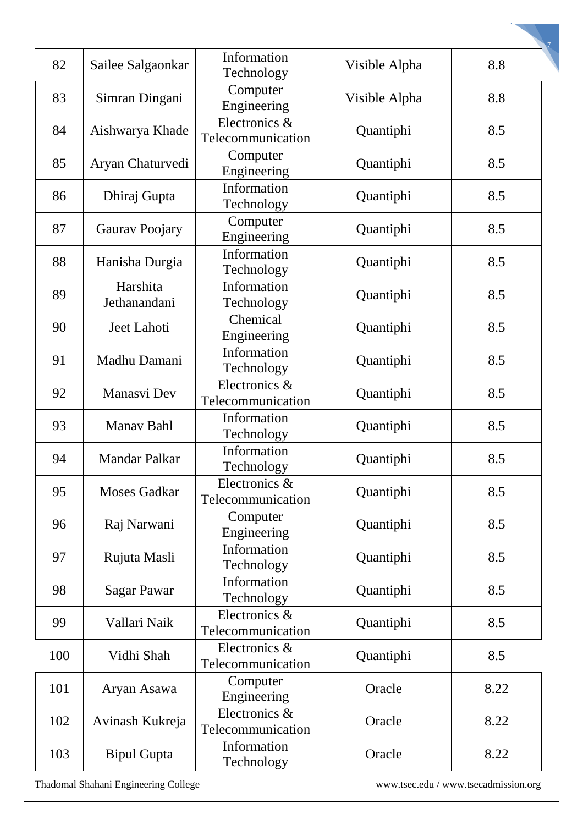| 82  | Sailee Salgaonkar        | Information<br>Technology          | Visible Alpha | 8.8  |
|-----|--------------------------|------------------------------------|---------------|------|
| 83  | Simran Dingani           | Computer<br>Engineering            | Visible Alpha | 8.8  |
| 84  | Aishwarya Khade          | Electronics &<br>Telecommunication | Quantiphi     | 8.5  |
| 85  | Aryan Chaturvedi         | Computer<br>Engineering            | Quantiphi     | 8.5  |
| 86  | Dhiraj Gupta             | Information<br>Technology          | Quantiphi     | 8.5  |
| 87  | Gaurav Poojary           | Computer<br>Engineering            | Quantiphi     | 8.5  |
| 88  | Hanisha Durgia           | Information<br>Technology          | Quantiphi     | 8.5  |
| 89  | Harshita<br>Jethanandani | Information<br>Technology          | Quantiphi     | 8.5  |
| 90  | Jeet Lahoti              | Chemical<br>Engineering            | Quantiphi     | 8.5  |
| 91  | Madhu Damani             | Information<br>Technology          | Quantiphi     | 8.5  |
| 92  | Manasvi Dev              | Electronics &<br>Telecommunication | Quantiphi     | 8.5  |
| 93  | Manav Bahl               | Information<br>Technology          | Quantiphi     | 8.5  |
| 94  | <b>Mandar Palkar</b>     | Information<br>Technology          | Quantiphi     | 8.5  |
| 95  | <b>Moses Gadkar</b>      | Electronics &<br>Telecommunication | Quantiphi     | 8.5  |
| 96  | Raj Narwani              | Computer<br>Engineering            | Quantiphi     | 8.5  |
| 97  | Rujuta Masli             | Information<br>Technology          | Quantiphi     | 8.5  |
| 98  | <b>Sagar Pawar</b>       | Information<br>Technology          | Quantiphi     | 8.5  |
| 99  | Vallari Naik             | Electronics &<br>Telecommunication | Quantiphi     | 8.5  |
| 100 | Vidhi Shah               | Electronics &<br>Telecommunication | Quantiphi     | 8.5  |
| 101 | Aryan Asawa              | Computer<br>Engineering            | Oracle        | 8.22 |
| 102 | Avinash Kukreja          | Electronics &<br>Telecommunication | Oracle        | 8.22 |
| 103 | <b>Bipul Gupta</b>       | Information<br>Technology          | Oracle        | 8.22 |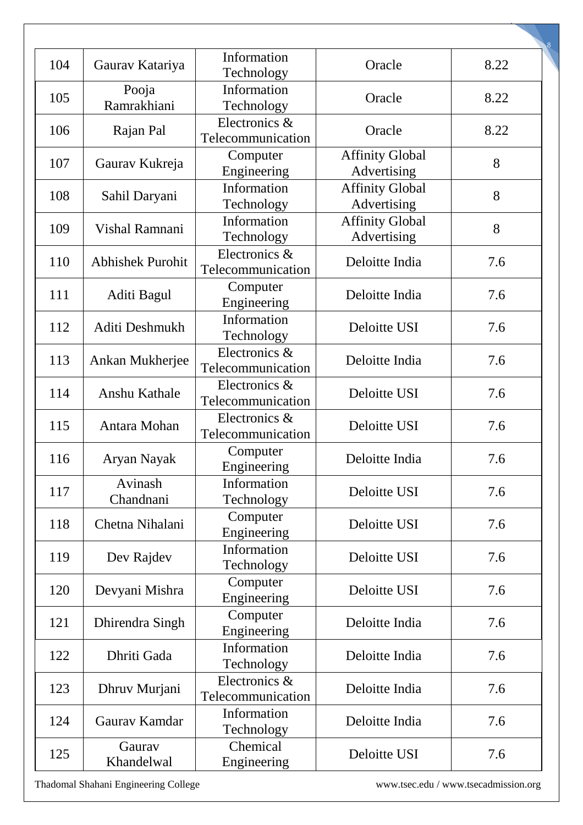| 104 | Gaurav Katariya         | Information<br>Technology          | Oracle                                | 8.22 |
|-----|-------------------------|------------------------------------|---------------------------------------|------|
| 105 | Pooja<br>Ramrakhiani    | Information<br>Technology          | Oracle                                | 8.22 |
| 106 | Rajan Pal               | Electronics &<br>Telecommunication | Oracle                                | 8.22 |
| 107 | Gaurav Kukreja          | Computer<br>Engineering            | <b>Affinity Global</b><br>Advertising | 8    |
| 108 | Sahil Daryani           | Information<br>Technology          | <b>Affinity Global</b><br>Advertising | 8    |
| 109 | Vishal Ramnani          | Information<br>Technology          | <b>Affinity Global</b><br>Advertising | 8    |
| 110 | <b>Abhishek Purohit</b> | Electronics &<br>Telecommunication | Deloitte India                        | 7.6  |
| 111 | Aditi Bagul             | Computer<br>Engineering            | Deloitte India                        | 7.6  |
| 112 | Aditi Deshmukh          | Information<br>Technology          | Deloitte USI                          | 7.6  |
| 113 | Ankan Mukherjee         | Electronics &<br>Telecommunication | Deloitte India                        | 7.6  |
| 114 | <b>Anshu Kathale</b>    | Electronics &<br>Telecommunication | Deloitte USI                          | 7.6  |
| 115 | Antara Mohan            | Electronics &<br>Telecommunication | Deloitte USI                          | 7.6  |
| 116 | Aryan Nayak             | Computer<br>Engineering            | Deloitte India                        | 7.6  |
| 117 | Avinash<br>Chandnani    | Information<br>Technology          | Deloitte USI                          | 7.6  |
| 118 | Chetna Nihalani         | Computer<br>Engineering            | Deloitte USI                          | 7.6  |
| 119 | Dev Rajdev              | Information<br>Technology          | Deloitte USI                          | 7.6  |
| 120 | Devyani Mishra          | Computer<br>Engineering            | Deloitte USI                          | 7.6  |
| 121 | Dhirendra Singh         | Computer<br>Engineering            | Deloitte India                        | 7.6  |
| 122 | Dhriti Gada             | Information<br>Technology          | Deloitte India                        | 7.6  |
| 123 | Dhruv Murjani           | Electronics &<br>Telecommunication | Deloitte India                        | 7.6  |
| 124 | Gaurav Kamdar           | Information<br>Technology          | Deloitte India                        | 7.6  |
| 125 | Gaurav<br>Khandelwal    | Chemical<br>Engineering            | Deloitte USI                          | 7.6  |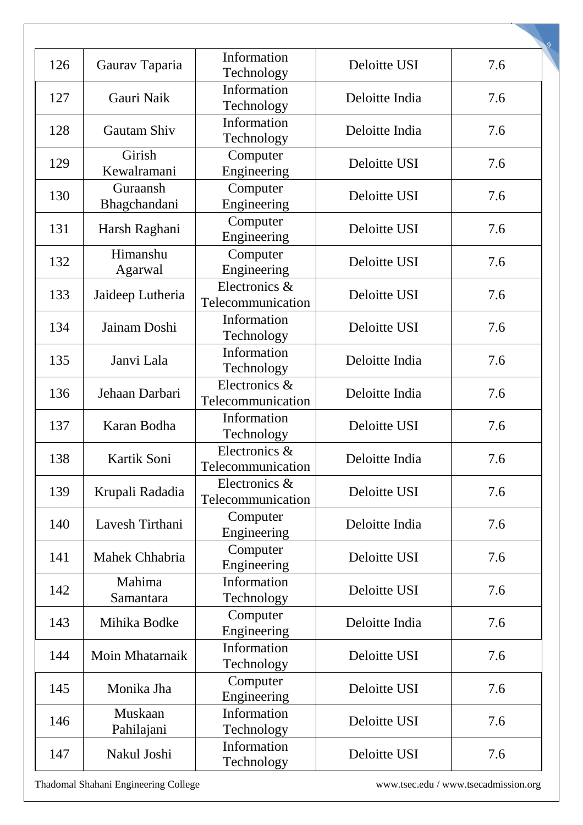| 126 | Gaurav Taparia           | Information<br>Technology          | Deloitte USI   | 7.6 |
|-----|--------------------------|------------------------------------|----------------|-----|
| 127 | Gauri Naik               | Information<br>Technology          | Deloitte India | 7.6 |
| 128 | Gautam Shiv              | Information<br>Technology          | Deloitte India | 7.6 |
| 129 | Girish<br>Kewalramani    | Computer<br>Engineering            | Deloitte USI   | 7.6 |
| 130 | Guraansh<br>Bhagchandani | Computer<br>Engineering            | Deloitte USI   | 7.6 |
| 131 | Harsh Raghani            | Computer<br>Engineering            | Deloitte USI   | 7.6 |
| 132 | Himanshu<br>Agarwal      | Computer<br>Engineering            | Deloitte USI   | 7.6 |
| 133 | Jaideep Lutheria         | Electronics &<br>Telecommunication | Deloitte USI   | 7.6 |
| 134 | Jainam Doshi             | Information<br>Technology          | Deloitte USI   | 7.6 |
| 135 | Janvi Lala               | Information<br>Technology          | Deloitte India | 7.6 |
| 136 | Jehaan Darbari           | Electronics &<br>Telecommunication | Deloitte India | 7.6 |
| 137 | Karan Bodha              | Information<br>Technology          | Deloitte USI   | 7.6 |
| 138 | Kartik Soni              | Electronics &<br>Telecommunication | Deloitte India | 7.6 |
| 139 | Krupali Radadia          | Electronics &<br>Telecommunication | Deloitte USI   | 7.6 |
| 140 | Lavesh Tirthani          | Computer<br>Engineering            | Deloitte India | 7.6 |
| 141 | Mahek Chhabria           | Computer<br>Engineering            | Deloitte USI   | 7.6 |
| 142 | Mahima<br>Samantara      | Information<br>Technology          | Deloitte USI   | 7.6 |
| 143 | Mihika Bodke             | Computer<br>Engineering            | Deloitte India | 7.6 |
| 144 | Moin Mhatarnaik          | Information<br>Technology          | Deloitte USI   | 7.6 |
| 145 | Monika Jha               | Computer<br>Engineering            | Deloitte USI   | 7.6 |
| 146 | Muskaan<br>Pahilajani    | Information<br>Technology          | Deloitte USI   | 7.6 |
| 147 | Nakul Joshi              | Information<br>Technology          | Deloitte USI   | 7.6 |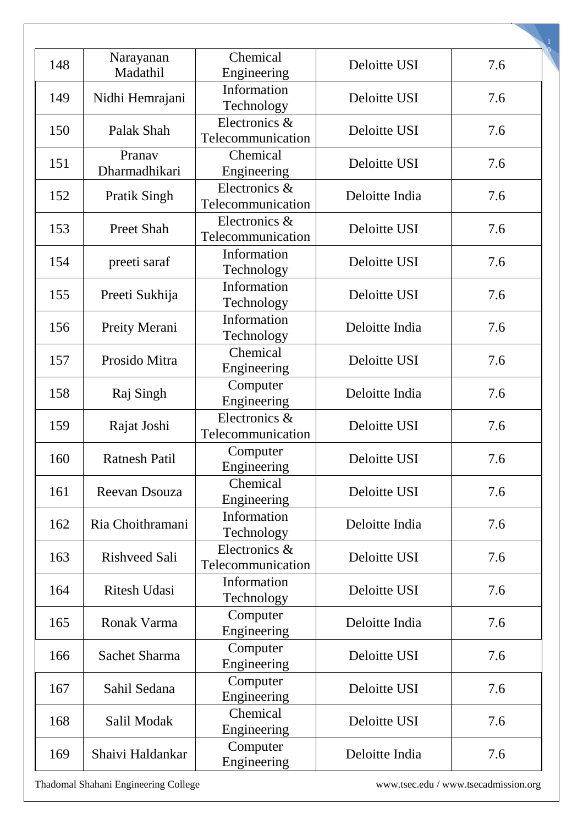| 148 | Narayanan<br>Madathil   | Chemical<br>Engineering            | Deloitte USI   | 7.6 |
|-----|-------------------------|------------------------------------|----------------|-----|
| 149 | Nidhi Hemrajani         | Information<br>Technology          | Deloitte USI   | 7.6 |
| 150 | Palak Shah              | Electronics &<br>Telecommunication | Deloitte USI   | 7.6 |
| 151 | Pranav<br>Dharmadhikari | Chemical<br>Engineering            | Deloitte USI   | 7.6 |
| 152 | <b>Pratik Singh</b>     | Electronics &<br>Telecommunication | Deloitte India | 7.6 |
| 153 | <b>Preet Shah</b>       | Electronics &<br>Telecommunication | Deloitte USI   | 7.6 |
| 154 | preeti saraf            | Information<br>Technology          | Deloitte USI   | 7.6 |
| 155 | Preeti Sukhija          | Information<br>Technology          | Deloitte USI   | 7.6 |
| 156 | Preity Merani           | Information<br>Technology          | Deloitte India | 7.6 |
| 157 | Prosido Mitra           | Chemical<br>Engineering            | Deloitte USI   | 7.6 |
| 158 | Raj Singh               | Computer<br>Engineering            | Deloitte India | 7.6 |
| 159 | Rajat Joshi             | Electronics &<br>Telecommunication | Deloitte USI   | 7.6 |
| 160 | <b>Ratnesh Patil</b>    | Computer<br>Engineering            | Deloitte USI   | 7.6 |
| 161 | Reevan Dsouza           | Chemical<br>Engineering            | Deloitte USI   | 7.6 |
| 162 | Ria Choithramani        | Information<br>Technology          | Deloitte India | 7.6 |
| 163 | <b>Rishveed Sali</b>    | Electronics &<br>Telecommunication | Deloitte USI   | 7.6 |
| 164 | <b>Ritesh Udasi</b>     | Information<br>Technology          | Deloitte USI   | 7.6 |
| 165 | Ronak Varma             | Computer<br>Engineering            | Deloitte India | 7.6 |
| 166 | Sachet Sharma           | Computer<br>Engineering            | Deloitte USI   | 7.6 |
| 167 | Sahil Sedana            | Computer<br>Engineering            | Deloitte USI   | 7.6 |
| 168 | Salil Modak             | Chemical<br>Engineering            | Deloitte USI   | 7.6 |
| 169 | Shaivi Haldankar        | Computer<br>Engineering            | Deloitte India | 7.6 |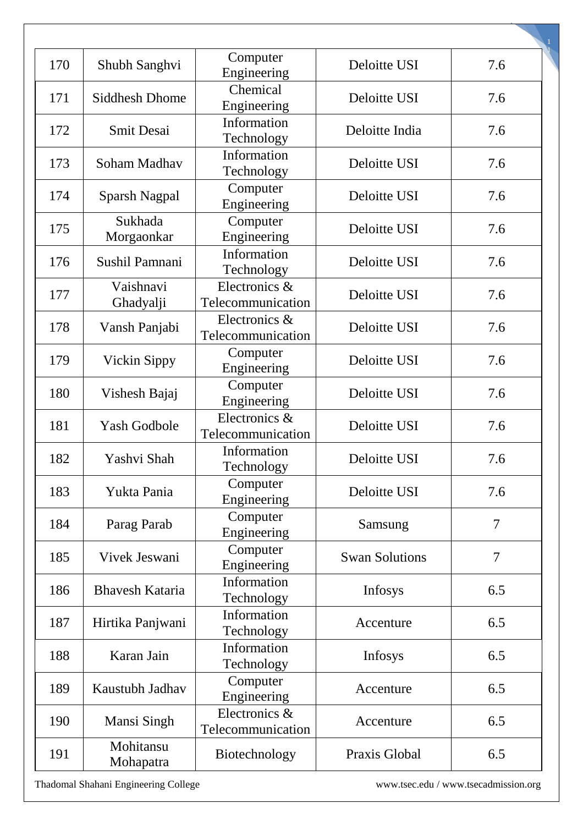| 170 | Shubh Sanghvi          | Computer<br>Engineering            | Deloitte USI          | 7.6            |
|-----|------------------------|------------------------------------|-----------------------|----------------|
| 171 | <b>Siddhesh Dhome</b>  | Chemical<br>Engineering            | Deloitte USI          | 7.6            |
| 172 | <b>Smit Desai</b>      | Information<br>Technology          | Deloitte India        | 7.6            |
| 173 | Soham Madhav           | Information<br>Technology          | Deloitte USI          | 7.6            |
| 174 | <b>Sparsh Nagpal</b>   | Computer<br>Engineering            | Deloitte USI          | 7.6            |
| 175 | Sukhada<br>Morgaonkar  | Computer<br>Engineering            | Deloitte USI          | 7.6            |
| 176 | Sushil Pamnani         | Information<br>Technology          | Deloitte USI          | 7.6            |
| 177 | Vaishnavi<br>Ghadyalji | Electronics &<br>Telecommunication | Deloitte USI          | 7.6            |
| 178 | Vansh Panjabi          | Electronics &<br>Telecommunication | Deloitte USI          | 7.6            |
| 179 | <b>Vickin Sippy</b>    | Computer<br>Engineering            | Deloitte USI          | 7.6            |
| 180 | Vishesh Bajaj          | Computer<br>Engineering            | Deloitte USI          | 7.6            |
| 181 | <b>Yash Godbole</b>    | Electronics &<br>Telecommunication | Deloitte USI          | 7.6            |
| 182 | Yashvi Shah            | Information<br>Technology          | Deloitte USI          | 7.6            |
| 183 | Yukta Pania            | Computer<br>Engineering            | Deloitte USI          | 7.6            |
| 184 | Parag Parab            | Computer<br>Engineering            | Samsung               | $\tau$         |
| 185 | Vivek Jeswani          | Computer<br>Engineering            | <b>Swan Solutions</b> | $\overline{7}$ |
| 186 | <b>Bhavesh Kataria</b> | Information<br>Technology          | Infosys               | 6.5            |
| 187 | Hirtika Panjwani       | Information<br>Technology          | Accenture             | 6.5            |
| 188 | Karan Jain             | Information<br>Technology          | Infosys               | 6.5            |
| 189 | Kaustubh Jadhav        | Computer<br>Engineering            | Accenture             | 6.5            |
| 190 | Mansi Singh            | Electronics &<br>Telecommunication | Accenture             | 6.5            |
| 191 | Mohitansu<br>Mohapatra | Biotechnology                      | Praxis Global         | 6.5            |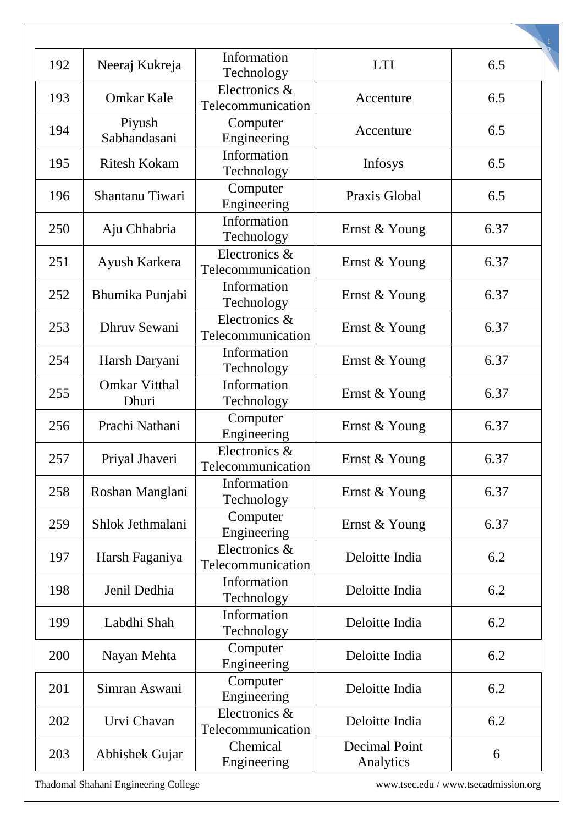| 192 | Neeraj Kukreja                | Information<br>Technology          | <b>LTI</b>                        | 6.5  |
|-----|-------------------------------|------------------------------------|-----------------------------------|------|
| 193 | <b>Omkar Kale</b>             | Electronics &<br>Telecommunication | Accenture                         | 6.5  |
| 194 | Piyush<br>Sabhandasani        | Computer<br>Engineering            | Accenture                         | 6.5  |
| 195 | <b>Ritesh Kokam</b>           | Information<br>Technology          | Infosys                           | 6.5  |
| 196 | Shantanu Tiwari               | Computer<br>Engineering            | Praxis Global                     | 6.5  |
| 250 | Aju Chhabria                  | Information<br>Technology          | Ernst & Young                     | 6.37 |
| 251 | Ayush Karkera                 | Electronics &<br>Telecommunication | Ernst & Young                     | 6.37 |
| 252 | Bhumika Punjabi               | Information<br>Technology          | Ernst & Young                     | 6.37 |
| 253 | Dhruv Sewani                  | Electronics &<br>Telecommunication | Ernst & Young                     | 6.37 |
| 254 | Harsh Daryani                 | Information<br>Technology          | Ernst & Young                     | 6.37 |
| 255 | <b>Omkar Vitthal</b><br>Dhuri | Information<br>Technology          | Ernst & Young                     | 6.37 |
| 256 | Prachi Nathani                | Computer<br>Engineering            | Ernst & Young                     | 6.37 |
| 257 | Priyal Jhaveri                | Electronics &<br>Telecommunication | Ernst & Young                     | 6.37 |
| 258 | Roshan Manglani               | Information<br>Technology          | Ernst & Young                     | 6.37 |
| 259 | Shlok Jethmalani              | Computer<br>Engineering            | Ernst & Young                     | 6.37 |
| 197 | Harsh Faganiya                | Electronics &<br>Telecommunication | Deloitte India                    | 6.2  |
| 198 | Jenil Dedhia                  | Information<br>Technology          | Deloitte India                    | 6.2  |
| 199 | Labdhi Shah                   | Information<br>Technology          | Deloitte India                    | 6.2  |
| 200 | Nayan Mehta                   | Computer<br>Engineering            | Deloitte India                    | 6.2  |
| 201 | Simran Aswani                 | Computer<br>Engineering            | Deloitte India                    | 6.2  |
| 202 | Urvi Chavan                   | Electronics &<br>Telecommunication | Deloitte India                    | 6.2  |
| 203 | Abhishek Gujar                | Chemical<br>Engineering            | <b>Decimal Point</b><br>Analytics | 6    |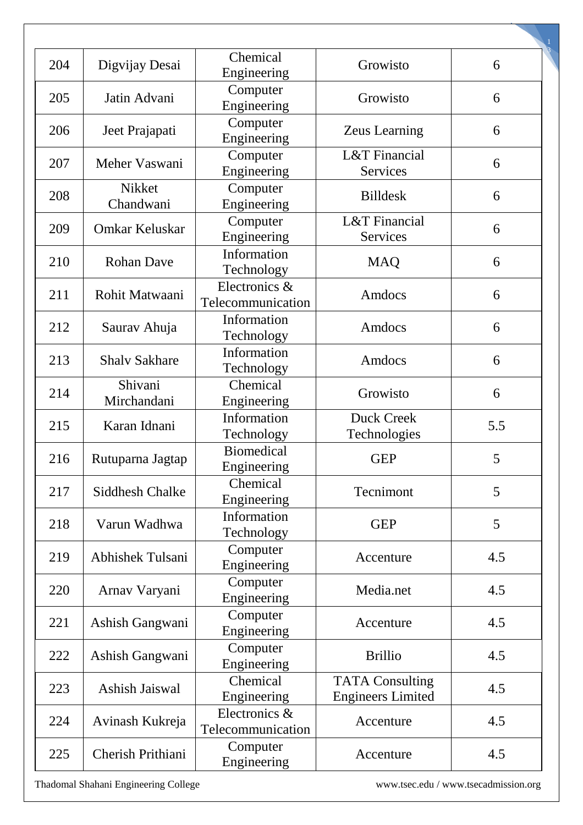| 204 | Digvijay Desai          | Chemical<br>Engineering            | Growisto                                           | 6   |
|-----|-------------------------|------------------------------------|----------------------------------------------------|-----|
| 205 | Jatin Advani            | Computer<br>Engineering            | Growisto                                           | 6   |
| 206 | Jeet Prajapati          | Computer<br>Engineering            | <b>Zeus Learning</b>                               | 6   |
| 207 | Meher Vaswani           | Computer<br>Engineering            | L&T Financial<br><b>Services</b>                   | 6   |
| 208 | Nikket<br>Chandwani     | Computer<br>Engineering            | <b>Billdesk</b>                                    | 6   |
| 209 | Omkar Keluskar          | Computer<br>Engineering            | L&T Financial<br>Services                          | 6   |
| 210 | <b>Rohan Dave</b>       | Information<br>Technology          | <b>MAQ</b>                                         | 6   |
| 211 | Rohit Matwaani          | Electronics &<br>Telecommunication | Amdocs                                             | 6   |
| 212 | Saurav Ahuja            | Information<br>Technology          | Amdocs                                             | 6   |
| 213 | <b>Shalv Sakhare</b>    | Information<br>Technology          | Amdocs                                             | 6   |
| 214 | Shivani<br>Mirchandani  | Chemical<br>Engineering            | Growisto                                           | 6   |
| 215 | Karan Idnani            | Information<br>Technology          | <b>Duck Creek</b><br>Technologies                  | 5.5 |
| 216 | Rutuparna Jagtap        | <b>Biomedical</b><br>Engineering   | <b>GEP</b>                                         | 5   |
| 217 | Siddhesh Chalke         | Chemical<br>Engineering            | Tecnimont                                          | 5   |
| 218 | Varun Wadhwa            | Information<br>Technology          | <b>GEP</b>                                         | 5   |
| 219 | <b>Abhishek Tulsani</b> | Computer<br>Engineering            | Accenture                                          | 4.5 |
| 220 | Arnav Varyani           | Computer<br>Engineering            | Media.net                                          | 4.5 |
| 221 | Ashish Gangwani         | Computer<br>Engineering            | Accenture                                          | 4.5 |
| 222 | Ashish Gangwani         | Computer<br>Engineering            | <b>Brillio</b>                                     | 4.5 |
| 223 | Ashish Jaiswal          | Chemical<br>Engineering            | <b>TATA Consulting</b><br><b>Engineers Limited</b> | 4.5 |
| 224 | Avinash Kukreja         | Electronics &<br>Telecommunication | Accenture                                          | 4.5 |
| 225 | Cherish Prithiani       | Computer<br>Engineering            | Accenture                                          | 4.5 |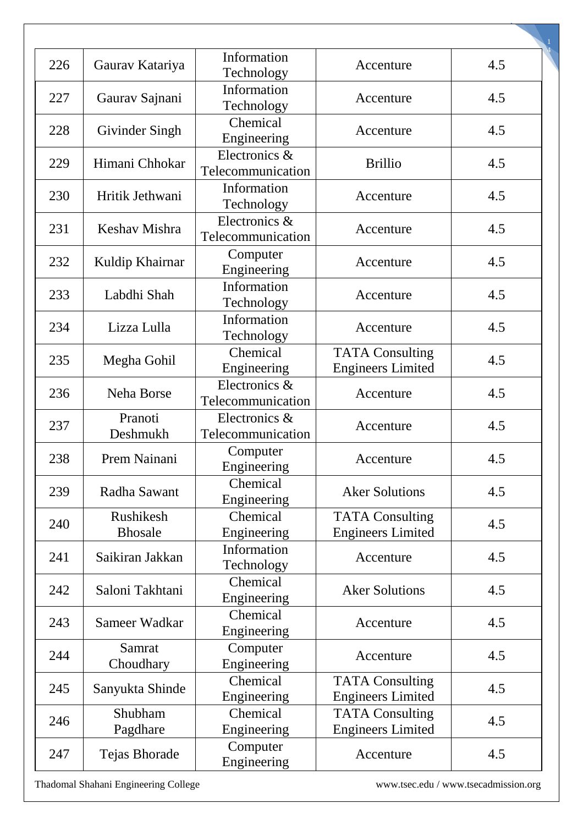| 226 | Gaurav Katariya     | Information<br>Technology          | Accenture                                          | 4.5 |
|-----|---------------------|------------------------------------|----------------------------------------------------|-----|
| 227 | Gaurav Sajnani      | Information<br>Technology          | Accenture                                          | 4.5 |
| 228 | Givinder Singh      | Chemical<br>Engineering            | Accenture                                          | 4.5 |
| 229 | Himani Chhokar      | Electronics &<br>Telecommunication | <b>Brillio</b>                                     | 4.5 |
| 230 | Hritik Jethwani     | Information<br>Technology          | Accenture                                          | 4.5 |
| 231 | Keshav Mishra       | Electronics &<br>Telecommunication | Accenture                                          | 4.5 |
| 232 | Kuldip Khairnar     | Computer<br>Engineering            | Accenture                                          | 4.5 |
| 233 | Labdhi Shah         | Information<br>Technology          | Accenture                                          | 4.5 |
| 234 | Lizza Lulla         | Information<br>Technology          | Accenture                                          | 4.5 |
| 235 | Megha Gohil         | Chemical<br>Engineering            | <b>TATA Consulting</b><br><b>Engineers Limited</b> | 4.5 |
| 236 | Neha Borse          | Electronics &<br>Telecommunication | Accenture                                          | 4.5 |
| 237 | Pranoti<br>Deshmukh | Electronics &<br>Telecommunication | Accenture                                          | 4.5 |
| 238 | Prem Nainani        | Computer<br>Engineering            | Accenture                                          | 4.5 |
| 239 | Radha Sawant        | Chemical<br>Engineering            | <b>Aker Solutions</b>                              | 4.5 |
| 240 | Rushikesh           | Chemical                           | <b>TATA Consulting</b>                             | 4.5 |
|     | <b>Bhosale</b>      | Engineering                        | <b>Engineers Limited</b>                           |     |
| 241 | Saikiran Jakkan     | Information<br>Technology          | Accenture                                          | 4.5 |
| 242 | Saloni Takhtani     | Chemical<br>Engineering            | <b>Aker Solutions</b>                              | 4.5 |
| 243 | Sameer Wadkar       | Chemical<br>Engineering            | Accenture                                          | 4.5 |
| 244 | Samrat<br>Choudhary | Computer<br>Engineering            | Accenture                                          | 4.5 |
| 245 | Sanyukta Shinde     | Chemical<br>Engineering            | <b>TATA Consulting</b><br><b>Engineers Limited</b> | 4.5 |
| 246 | Shubham<br>Pagdhare | Chemical<br>Engineering            | <b>TATA Consulting</b><br><b>Engineers Limited</b> | 4.5 |
| 247 | Tejas Bhorade       | Computer<br>Engineering            | Accenture                                          | 4.5 |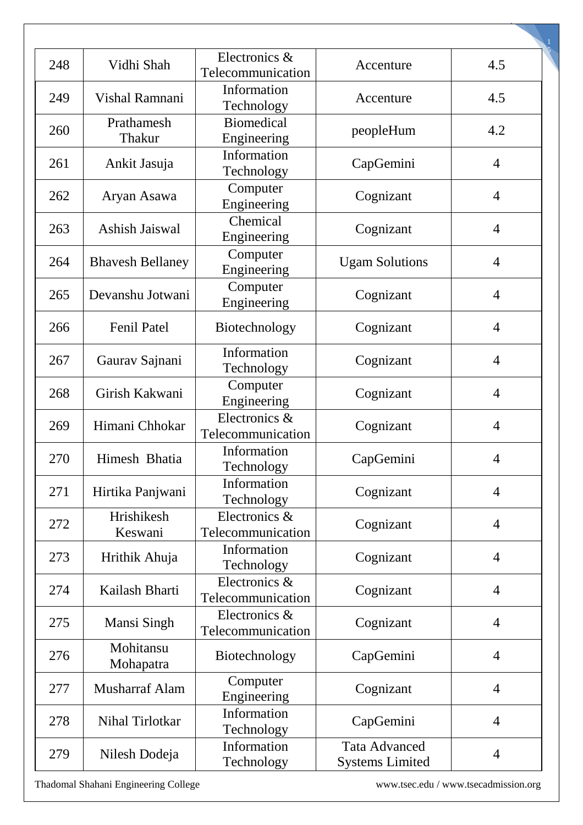| 248 | Vidhi Shah              | Electronics &<br>Telecommunication | Accenture                                      | 4.5            |
|-----|-------------------------|------------------------------------|------------------------------------------------|----------------|
| 249 | Vishal Ramnani          | Information<br>Technology          | Accenture                                      | 4.5            |
| 260 | Prathamesh<br>Thakur    | <b>Biomedical</b><br>Engineering   | peopleHum                                      | 4.2            |
| 261 | Ankit Jasuja            | Information<br>Technology          | CapGemini                                      | $\overline{4}$ |
| 262 | Aryan Asawa             | Computer<br>Engineering            | Cognizant                                      | $\overline{4}$ |
| 263 | Ashish Jaiswal          | Chemical<br>Engineering            | Cognizant                                      | $\overline{4}$ |
| 264 | <b>Bhavesh Bellaney</b> | Computer<br>Engineering            | <b>Ugam Solutions</b>                          | $\overline{4}$ |
| 265 | Devanshu Jotwani        | Computer<br>Engineering            | Cognizant                                      | $\overline{4}$ |
| 266 | <b>Fenil Patel</b>      | Biotechnology                      | Cognizant                                      | $\overline{4}$ |
| 267 | Gaurav Sajnani          | Information<br>Technology          | Cognizant                                      | $\overline{4}$ |
| 268 | Girish Kakwani          | Computer<br>Engineering            | Cognizant                                      | $\overline{4}$ |
| 269 | Himani Chhokar          | Electronics &<br>Telecommunication | Cognizant                                      | $\overline{4}$ |
| 270 | Himesh Bhatia           | Information<br>Technology          | CapGemini                                      | 4              |
| 271 | Hirtika Panjwani        | Information<br>Technology          | Cognizant                                      | $\overline{4}$ |
| 272 | Hrishikesh<br>Keswani   | Electronics &<br>Telecommunication | Cognizant                                      | $\overline{4}$ |
| 273 | Hrithik Ahuja           | Information<br>Technology          | Cognizant                                      | $\overline{4}$ |
| 274 | Kailash Bharti          | Electronics &<br>Telecommunication | Cognizant                                      | $\overline{4}$ |
| 275 | Mansi Singh             | Electronics &<br>Telecommunication | Cognizant                                      | $\overline{4}$ |
| 276 | Mohitansu<br>Mohapatra  | Biotechnology                      | CapGemini                                      | $\overline{4}$ |
| 277 | <b>Musharraf Alam</b>   | Computer<br>Engineering            | Cognizant                                      | $\overline{4}$ |
| 278 | Nihal Tirlotkar         | Information<br>Technology          | CapGemini                                      | $\overline{4}$ |
| 279 | Nilesh Dodeja           | Information<br>Technology          | <b>Tata Advanced</b><br><b>Systems Limited</b> | $\overline{4}$ |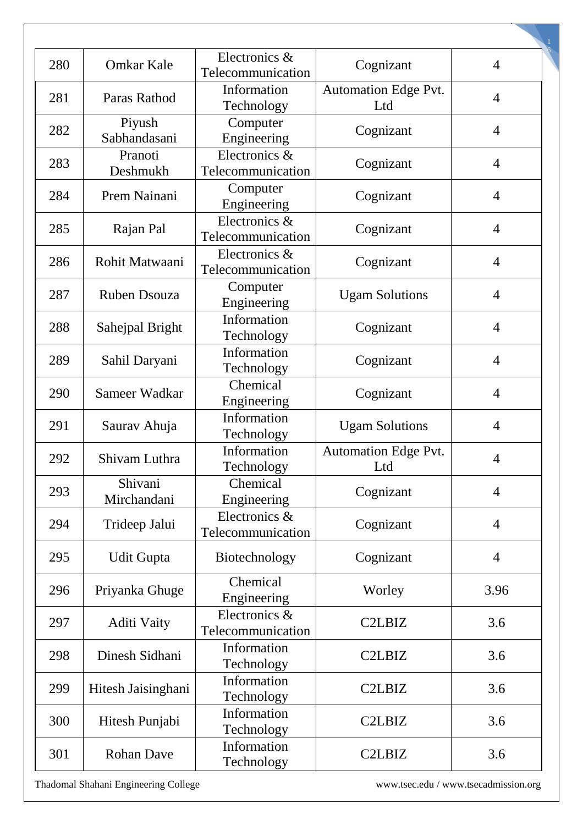| 280 | <b>Omkar Kale</b>      | Electronics &<br>Telecommunication | Cognizant                          | $\overline{4}$ |
|-----|------------------------|------------------------------------|------------------------------------|----------------|
| 281 | Paras Rathod           | Information<br>Technology          | <b>Automation Edge Pvt.</b><br>Ltd | $\overline{4}$ |
| 282 | Piyush<br>Sabhandasani | Computer<br>Engineering            | Cognizant                          | $\overline{4}$ |
| 283 | Pranoti<br>Deshmukh    | Electronics &<br>Telecommunication | Cognizant                          | $\overline{4}$ |
| 284 | Prem Nainani           | Computer<br>Engineering            | Cognizant                          | $\overline{4}$ |
| 285 | Rajan Pal              | Electronics &<br>Telecommunication | Cognizant                          | $\overline{4}$ |
| 286 | Rohit Matwaani         | Electronics &<br>Telecommunication | Cognizant                          | $\overline{4}$ |
| 287 | <b>Ruben Dsouza</b>    | Computer<br>Engineering            | <b>Ugam Solutions</b>              | $\overline{4}$ |
| 288 | Sahejpal Bright        | Information<br>Technology          | Cognizant                          | $\overline{4}$ |
| 289 | Sahil Daryani          | Information<br>Technology          | Cognizant                          | $\overline{4}$ |
| 290 | Sameer Wadkar          | Chemical<br>Engineering            | Cognizant                          | $\overline{4}$ |
| 291 | Saurav Ahuja           | Information<br>Technology          | <b>Ugam Solutions</b>              | $\overline{4}$ |
| 292 | Shivam Luthra          | Information<br>Technology          | <b>Automation Edge Pvt.</b><br>Ltd | $\overline{4}$ |
| 293 | Shivani<br>Mirchandani | Chemical<br>Engineering            | Cognizant                          | $\overline{4}$ |
| 294 | Trideep Jalui          | Electronics &<br>Telecommunication | Cognizant                          | $\overline{4}$ |
| 295 | <b>Udit Gupta</b>      | Biotechnology                      | Cognizant                          | $\overline{4}$ |
| 296 | Priyanka Ghuge         | Chemical<br>Engineering            | Worley                             | 3.96           |
| 297 | Aditi Vaity            | Electronics &<br>Telecommunication | C <sub>2</sub> LB <sub>I</sub> Z   | 3.6            |
| 298 | Dinesh Sidhani         | Information<br>Technology          | C <sub>2</sub> LB <sub>I</sub> Z   | 3.6            |
| 299 | Hitesh Jaisinghani     | Information<br>Technology          | C <sub>2</sub> LB <sub>I</sub> Z   | 3.6            |
| 300 | Hitesh Punjabi         | Information<br>Technology          | C <sub>2</sub> LB <sub>I</sub> Z   | 3.6            |
| 301 | <b>Rohan Dave</b>      | Information<br>Technology          | C <sub>2</sub> LB <sub>I</sub> Z   | 3.6            |